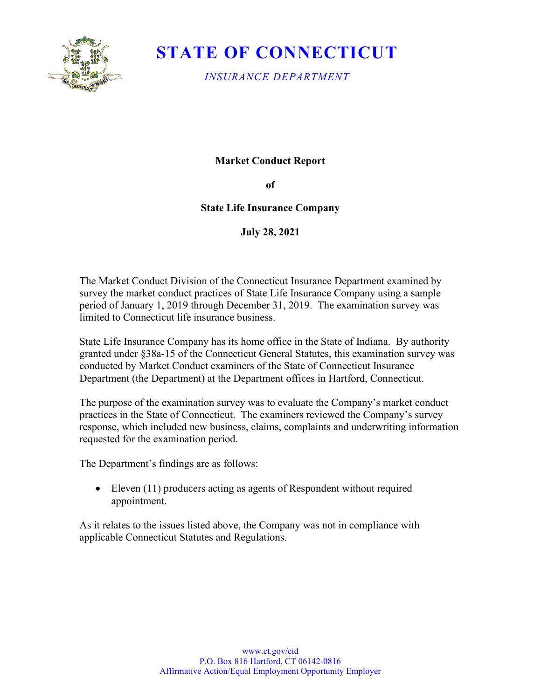

## **STATE OF CONNECTICUT**

*INSURANCE DEPARTMENT*

### **Market Conduct Report**

**of** 

### **State Life Insurance Company**

**July 28, 2021**

The Market Conduct Division of the Connecticut Insurance Department examined by survey the market conduct practices of State Life Insurance Company using a sample period of January 1, 2019 through December 31, 2019. The examination survey was limited to Connecticut life insurance business.

State Life Insurance Company has its home office in the State of Indiana. By authority granted under §38a-15 of the Connecticut General Statutes, this examination survey was conducted by Market Conduct examiners of the State of Connecticut Insurance Department (the Department) at the Department offices in Hartford, Connecticut.

The purpose of the examination survey was to evaluate the Company's market conduct practices in the State of Connecticut. The examiners reviewed the Company's survey response, which included new business, claims, complaints and underwriting information requested for the examination period.

The Department's findings are as follows:

• Eleven (11) producers acting as agents of Respondent without required appointment.

As it relates to the issues listed above, the Company was not in compliance with applicable Connecticut Statutes and Regulations.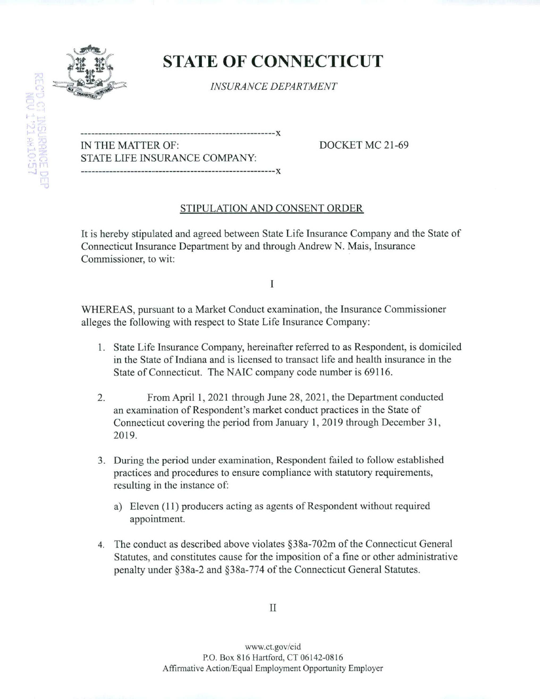

 $\begin{array}{l} \displaystyle \left\vert \begin{array}{c} \hspace{-0.1cm} \text{mod} \\ \hspace{-0.1cm} \text{mod} \\ \hspace{-0.1cm} \text{mod} \\ \hspace{-0.1cm} \text{mod} \\ \hspace{-0.1cm} \text{mod} \end{array} \right\vert \end{array}$ 

 $\tilde{\mathfrak{a}}$  M

ri

# STATE OF CONNECTICUT

INSURANCE DEPARTMENT

### IN THE MATTER OF: DOCKET MC 21-69 STATE LIFE INSURANCE COMPANY: o ^

H' 1^: X

### STIPULATION AND CONSENT ORDER

It is hereby stipulated and agreed between State Life Insurance Company and the State of Connecticut Insurance Department by and through Andrew N. Mais, Insurance Commissioner, to wit:

I

WHEREAS, pursuant to a Market Conduct examination, the Insurance Commissioner alleges the following with respect to State Life Insurance Company:

- 1. State Life Insurance Company, hereinafter referred to as Respondent, is domiciled in the State of Indiana and is licensed to transact life and health insurance in the State of Connecticut. The NAIC company code number is 69116.
- 2. From April I, 2021 through June 28, 2021, the Department conducted an examination of Respondent's market conduct practices in the State of Connecticut covering the period from January 1, 2019 through December 31, 2019.
- 3. During the period under examination. Respondent failed to follow established practices and procedures to ensure compliance with statutory requirements, resulting in the instance of:
	- a) Eleven (11) producers acting as agents of Respondent without required appointment.
- 4. The conduct as described above violates §38a-702m of the Connecticut General Statutes, and constitutes cause for the imposition of a fine or other administrative penalty under §38a-2 and §38a-774 of the Connecticut General Statutes.

II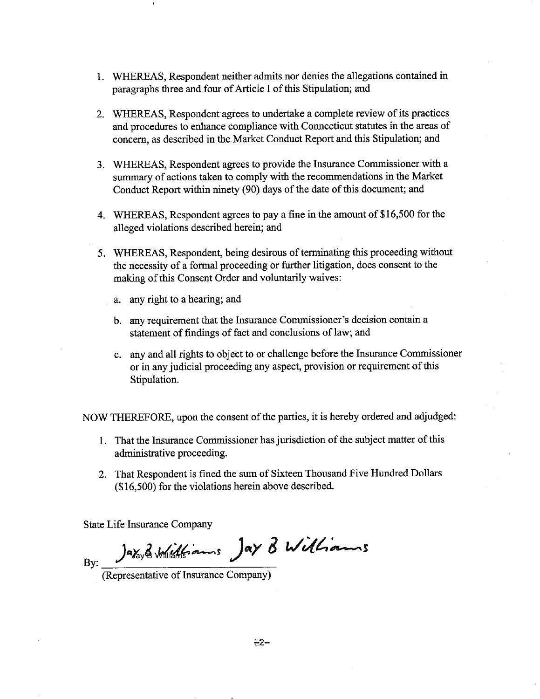- 1. WHEREAS, Respondent neither admits nor denies the allegations contained in paragraphs three and four of Article I of this Stipulation; and
- 2. WHEREAS, Respondent agrees to undertake a complete review of its practices and procedures to enhance compliance with Connecticut statutes in the areas of concern, as described in the Market Conduct Report and this Stipulation; and
- 3. WHEREAS, Respondent agrees to provide the Insurance Commissioner with a summary of actions taken to comply with the recommendations in the Market Conduct Report within ninety (90) days of the date of this document; and
- 4. WHEREAS, Respondent agrees to pay a fine in the amount of \$ 16,500 for the alleged violations described herein; and
- 5. WHEREAS, Respondent, being desirous of terminating this proceeding without the necessity of a formal proceeding or further litigation, does consent to the making of this Consent Order and voluntarily waives:
	- a. any right to a hearing; and
	- b. any requirement that the Insurance Commissioner's decision contain a statement of findings of fact and conclusions of law; and
	- c. any and all rights to object to or challenge before the Insurance Commissioner or in any judicial proceeding any aspect, provision or requirement of this Stipulation.

NOW THEREFORE, upon the consent of the parties, it is hereby ordered and adjudged:

- 1. That the Insurance Commissioner has jurisdiction of the subject matter of this administrative proceeding.
- 2. That Respondent is fined the sum of Sixteen Thousand Five Hundred Dollars (\$16,500) for the violations herein above described.

State Life Insurance Company

Jax Biblishtianne Jay 8 Williams By:

(Representative of Insurance Company)